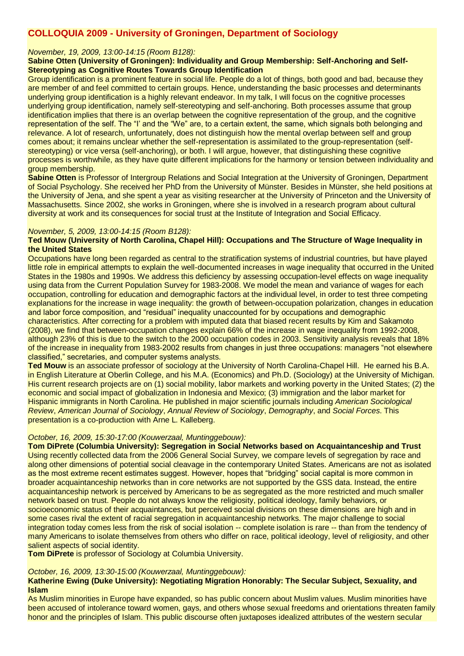# **COLLOQUIA 2009 - University of Groningen, Department of Sociology**

# *November, 19, 2009, 13:00-14:15 (Room B128):*

## **Sabine Otten (University of Groningen): Individuality and Group Membership: Self-Anchoring and Self-Stereotyping as Cognitive Routes Towards Group Identification**

Group identification is a prominent feature in social life. People do a lot of things, both good and bad, because they are member of and feel committed to certain groups. Hence, understanding the basic processes and determinants underlying group identification is a highly relevant endeavor. In my talk, I will focus on the cognitive processes underlying group identification, namely self-stereotyping and self-anchoring. Both processes assume that group identification implies that there is an overlap between the cognitive representation of the group, and the cognitive representation of the self. The "I' and the "We" are, to a certain extent, the same, which signals both belonging and relevance. A lot of research, unfortunately, does not distinguish how the mental overlap between self and group comes about; it remains unclear whether the self-representation is assimilated to the group-representation (selfstereotyping) or vice versa (self-anchoring), or both. I will argue, however, that distinguishing these cognitive processes is worthwhile, as they have quite different implications for the harmony or tension between individuality and group membership.

**Sabine Otten** is Professor of Intergroup Relations and Social Integration at the University of Groningen, Department of Social Psychology. She received her PhD from the University of Münster. Besides in Münster, she held positions at the University of Jena, and she spent a year as visiting researcher at the University of Princeton and the University of Massachusetts. Since 2002, she works in Groningen, where she is involved in a research program about cultural diversity at work and its consequences for social trust at the Institute of Integration and Social Efficacy.

#### *November, 5, 2009, 13:00-14:15 (Room B128):*

# **Ted Mouw (University of North Carolina, Chapel Hill): Occupations and The Structure of Wage Inequality in the United States**

Occupations have long been regarded as central to the stratification systems of industrial countries, but have played little role in empirical attempts to explain the well-documented increases in wage inequality that occurred in the United States in the 1980s and 1990s. We address this deficiency by assessing occupation-level effects on wage inequality using data from the Current Population Survey for 1983-2008. We model the mean and variance of wages for each occupation, controlling for education and demographic factors at the individual level, in order to test three competing explanations for the increase in wage inequality: the growth of between-occupation polarization, changes in education and labor force composition, and "residual" inequality unaccounted for by occupations and demographic characteristics. After correcting for a problem with imputed data that biased recent results by Kim and Sakamoto

(2008), we find that between-occupation changes explain 66% of the increase in wage inequality from 1992-2008, although 23% of this is due to the switch to the 2000 occupation codes in 2003. Sensitivity analysis reveals that 18% of the increase in inequality from 1983-2002 results from changes in just three occupations: managers "not elsewhere classified," secretaries, and computer systems analysts.

**Ted Mouw** is an associate professor of sociology at the University of North Carolina-Chapel Hill. He earned his B.A. in English Literature at Oberlin College, and his M.A. (Economics) and Ph.D. (Sociology) at the University of Michigan. His current research projects are on (1) social mobility, labor markets and working poverty in the United States; (2) the economic and social impact of globalization in Indonesia and Mexico; (3) immigration and the labor market for Hispanic immigrants in North Carolina. He published in major scientific journals including *American Sociological Review*, *American Journal of Sociology*, *Annual Review of Sociology*, *Demography*, and *Social Forces*. This presentation is a co-production with Arne L. Kalleberg.

# *October, 16, 2009, 15:30-17:00 (Kouwerzaal, Muntinggebouw):*

**Tom DiPrete (Columbia University): Segregation in Social Networks based on Acquaintanceship and Trust** Using recently collected data from the 2006 General Social Survey, we compare levels of segregation by race and along other dimensions of potential social cleavage in the contemporary United States. Americans are not as isolated as the most extreme recent estimates suggest. However, hopes that "bridging" social capital is more common in broader acquaintanceship networks than in core networks are not supported by the GSS data. Instead, the entire acquaintanceship network is perceived by Americans to be as segregated as the more restricted and much smaller network based on trust. People do not always know the religiosity, political ideology, family behaviors, or socioeconomic status of their acquaintances, but perceived social divisions on these dimensions are high and in some cases rival the extent of racial segregation in acquaintanceship networks. The major challenge to social integration today comes less from the risk of social isolation -- complete isolation is rare -- than from the tendency of many Americans to isolate themselves from others who differ on race, political ideology, level of religiosity, and other salient aspects of social identity.

**Tom DiPrete** is professor of Sociology at Columbia University.

#### *October, 16, 2009, 13:30-15:00 (Kouwerzaal, Muntinggebouw):*

# **Katherine Ewing (Duke University): Negotiating Migration Honorably: The Secular Subject, Sexuality, and Islam**

As Muslim minorities in Europe have expanded, so has public concern about Muslim values. Muslim minorities have been accused of intolerance toward women, gays, and others whose sexual freedoms and orientations threaten family honor and the principles of Islam. This public discourse often juxtaposes idealized attributes of the western secular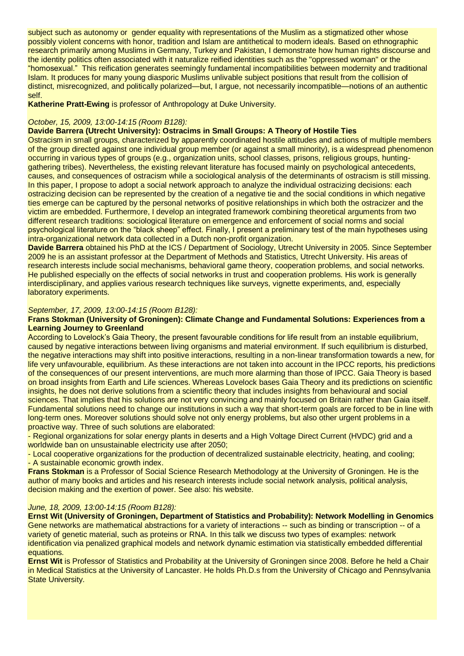subject such as autonomy or gender equality with representations of the Muslim as a stigmatized other whose possibly violent concerns with honor, tradition and Islam are antithetical to modern ideals. Based on ethnographic research primarily among Muslims in Germany, Turkey and Pakistan, I demonstrate how human rights discourse and the identity politics often associated with it naturalize reified identities such as the "oppressed woman" or the "homosexual." This reification generates seemingly fundamental incompatibilities between modernity and traditional Islam. It produces for many young diasporic Muslims unlivable subject positions that result from the collision of distinct, misrecognized, and politically polarized—but, I argue, not necessarily incompatible—notions of an authentic self.

**Katherine Pratt-Ewing** is professor of Anthropology at Duke University.

# *October, 15, 2009, 13:00-14:15 (Room B128):*

#### **Davide Barrera (Utrecht University): Ostracims in Small Groups: A Theory of Hostile Ties**

Ostracism in small groups, characterized by apparently coordinated hostile attitudes and actions of multiple members of the group directed against one individual group member (or against a small minority), is a widespread phenomenon occurring in various types of groups (e.g., organization units, school classes, prisons, religious groups, huntinggathering tribes). Nevertheless, the existing relevant literature has focused mainly on psychological antecedents, causes, and consequences of ostracism while a sociological analysis of the determinants of ostracism is still missing. In this paper, I propose to adopt a social network approach to analyze the individual ostracizing decisions: each ostracizing decision can be represented by the creation of a negative tie and the social conditions in which negative ties emerge can be captured by the personal networks of positive relationships in which both the ostracizer and the victim are embedded. Furthermore, I develop an integrated framework combining theoretical arguments from two different research traditions: sociological literature on emergence and enforcement of social norms and social psychological literature on the "black sheep" effect. Finally, I present a preliminary test of the main hypotheses using intra-organizational network data collected in a Dutch non-profit organization.

**Davide Barrera** obtained his PhD at the ICS / Department of Sociology, Utrecht University in 2005. Since September 2009 he is an assistant professor at the Department of Methods and Statistics, Utrecht University. His areas of research interests include social mechanisms, behavioral game theory, cooperation problems, and social networks. He published especially on the effects of social networks in trust and cooperation problems. His work is generally interdisciplinary, and applies various research techniques like surveys, vignette experiments, and, especially laboratory experiments.

#### *September, 17, 2009, 13:00-14:15 (Room B128):*

## **Frans Stokman (University of Groningen): Climate Change and Fundamental Solutions: Experiences from a Learning Journey to Greenland**

According to Lovelock's Gaia Theory, the present favourable conditions for life result from an instable equilibrium, caused by negative interactions between living organisms and material environment. If such equilibrium is disturbed, the negative interactions may shift into positive interactions, resulting in a non-linear transformation towards a new, for life very unfavourable, equilibrium. As these interactions are not taken into account in the IPCC reports, his predictions of the consequences of our present interventions, are much more alarming than those of IPCC. Gaia Theory is based on broad insights from Earth and Life sciences. Whereas Lovelock bases Gaia Theory and its predictions on scientific insights, he does not derive solutions from a scientific theory that includes insights from behavioural and social sciences. That implies that his solutions are not very convincing and mainly focused on Britain rather than Gaia itself. Fundamental solutions need to change our institutions in such a way that short-term goals are forced to be in line with long-term ones. Moreover solutions should solve not only energy problems, but also other urgent problems in a proactive way. Three of such solutions are elaborated:

- Regional organizations for solar energy plants in deserts and a High Voltage Direct Current (HVDC) grid and a worldwide ban on unsustainable electricity use after 2050;

- Local cooperative organizations for the production of decentralized sustainable electricity, heating, and cooling; - A sustainable economic growth index.

**Frans Stokman** is a Professor of Social Science Research Methodology at the University of Groningen. He is the author of many books and articles and his research interests include social network analysis, political analysis, decision making and the exertion of power. See also: his website.

#### *June, 18, 2009, 13:00-14:15 (Room B128):*

**Ernst Wit (University of Groningen, Department of Statistics and Probability): Network Modelling in Genomics** Gene networks are mathematical abstractions for a variety of interactions -- such as binding or transcription -- of a variety of genetic material, such as proteins or RNA. In this talk we discuss two types of examples: network identification via penalized graphical models and network dynamic estimation via statistically embedded differential equations.

**Ernst Wit** is Professor of Statistics and Probability at the University of Groningen since 2008. Before he held a Chair in Medical Statistics at the University of Lancaster. He holds Ph.D.s from the University of Chicago and Pennsylvania **State University.**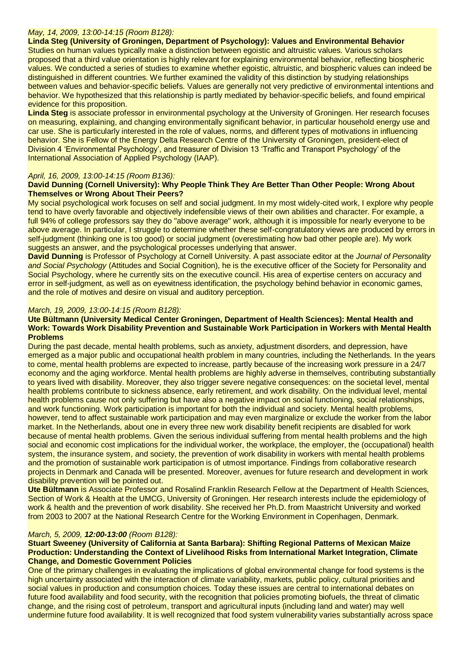# *May, 14, 2009, 13:00-14:15 (Room B128):*

**Linda Steg (University of Groningen, Department of Psychology): Values and Environmental Behavior**

Studies on human values typically make a distinction between egoistic and altruistic values. Various scholars proposed that a third value orientation is highly relevant for explaining environmental behavior, reflecting biospheric values. We conducted a series of studies to examine whether egoistic, altruistic, and biospheric values can indeed be distinguished in different countries. We further examined the validity of this distinction by studying relationships between values and behavior-specific beliefs. Values are generally not very predictive of environmental intentions and behavior. We hypothesized that this relationship is partly mediated by behavior-specific beliefs, and found empirical evidence for this proposition.

**Linda Steg** is associate professor in environmental psychology at the University of Groningen. Her research focuses on measuring, explaining, and changing environmentally significant behavior, in particular household energy use and car use. She is particularly interested in the role of values, norms, and different types of motivations in influencing behavior. She is Fellow of the Energy Delta Research Centre of the University of Groningen, president-elect of Division 4 'Environmental Psychology', and treasurer of Division 13 'Traffic and Transport Psychology' of the International Association of Applied Psychology (IAAP).

# *April, 16, 2009, 13:00-14:15 (Room B136):*

# **David Dunning (Cornell University): Why People Think They Are Better Than Other People: Wrong About Themselves or Wrong About Their Peers?**

My social psychological work focuses on self and social judgment. In my most widely-cited work, I explore why people tend to have overly favorable and objectively indefensible views of their own abilities and character. For example, a full 94% of college professors say they do "above average" work, although it is impossible for nearly everyone to be above average. In particular, I struggle to determine whether these self-congratulatory views are produced by errors in self-judgment (thinking one is too good) or social judgment (overestimating how bad other people are). My work suggests an answer, and the psychological processes underlying that answer.

**David Dunning** is Professor of Psychology at Cornell University. A past associate editor at the *Journal of Personality and Social Psychology* (Attitudes and Social Cognition), he is the executive officer of the Society for Personality and Social Psychology, where he currently sits on the executive council. His area of expertise centers on accuracy and error in self-judgment, as well as on eyewitness identification, the psychology behind behavior in economic games, and the role of motives and desire on visual and auditory perception.

#### *March, 19, 2009, 13:00-14:15 (Room B128):*

## **Ute Bültmann (University Medical Center Groningen, Department of Health Sciences): Mental Health and Work: Towards Work Disability Prevention and Sustainable Work Participation in Workers with Mental Health Problems**

During the past decade, mental health problems, such as anxiety, adjustment disorders, and depression, have emerged as a major public and occupational health problem in many countries, including the Netherlands. In the years to come, mental health problems are expected to increase, partly because of the increasing work pressure in a 24/7 economy and the aging workforce. Mental health problems are highly adverse in themselves, contributing substantially to years lived with disability. Moreover, they also trigger severe negative consequences: on the societal level, mental health problems contribute to sickness absence, early retirement, and work disability. On the individual level, mental health problems cause not only suffering but have also a negative impact on social functioning, social relationships, and work functioning. Work participation is important for both the individual and society. Mental health problems, however, tend to affect sustainable work participation and may even marginalize or exclude the worker from the labor market. In the Netherlands, about one in every three new work disability benefit recipients are disabled for work because of mental health problems. Given the serious individual suffering from mental health problems and the high social and economic cost implications for the individual worker, the workplace, the employer, the (occupational) health system, the insurance system, and society, the prevention of work disability in workers with mental health problems and the promotion of sustainable work participation is of utmost importance. Findings from collaborative research projects in Denmark and Canada will be presented. Moreover, avenues for future research and development in work disability prevention will be pointed out.

**Ute Bültmann** is Associate Professor and Rosalind Franklin Research Fellow at the Department of Health Sciences, Section of Work & Health at the UMCG, University of Groningen. Her research interests include the epidemiology of work & health and the prevention of work disability. She received her Ph.D. from Maastricht University and worked from 2003 to 2007 at the National Research Centre for the Working Environment in Copenhagen, Denmark.

# *March, 5, 2009, 12:00-13:00 (Room B128):*

## **Stuart Sweeney (University of California at Santa Barbara): Shifting Regional Patterns of Mexican Maize Production: Understanding the Context of Livelihood Risks from International Market Integration, Climate Change, and Domestic Government Policies**

One of the primary challenges in evaluating the implications of global environmental change for food systems is the high uncertainty associated with the interaction of climate variability, markets, public policy, cultural priorities and social values in production and consumption choices. Today these issues are central to international debates on future food availability and food security, with the recognition that policies promoting biofuels, the threat of climatic change, and the rising cost of petroleum, transport and agricultural inputs (including land and water) may well undermine future food availability. It is well recognized that food system vulnerability varies substantially across space